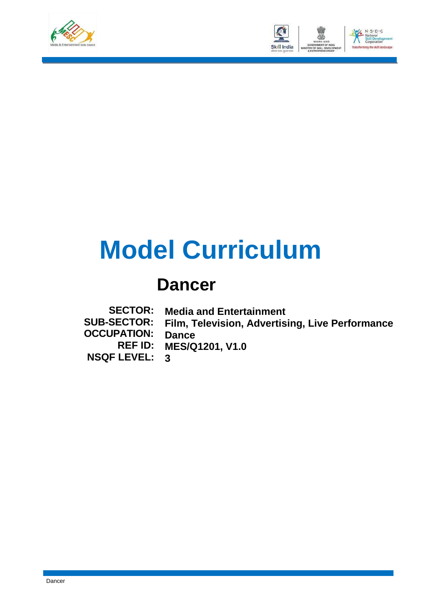



# **Model Curriculum**

# **Dancer**

**SECTOR: SUB-SECTOR: OCCUPATION: REF ID: NSQF LEVEL: Media and Entertainment Film, Television, Advertising, Live Performance Dance MES/Q1201, V1.0 3**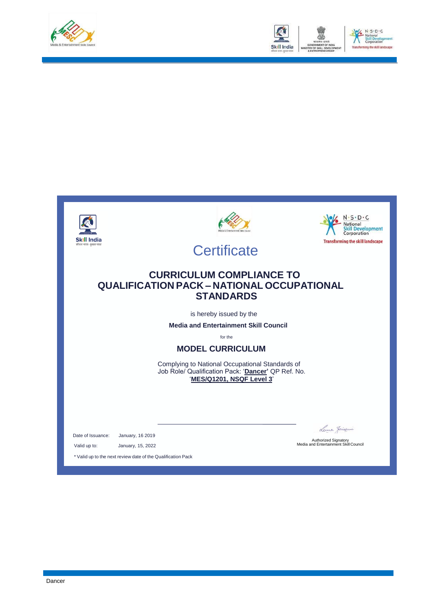



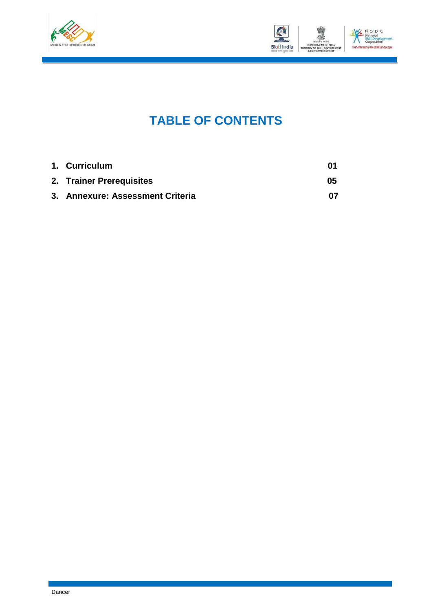



## **TABLE OF CONTENTS**

| 1. Curriculum                    | M1 |
|----------------------------------|----|
| 2. Trainer Prerequisites         | 05 |
| 3. Annexure: Assessment Criteria | በ7 |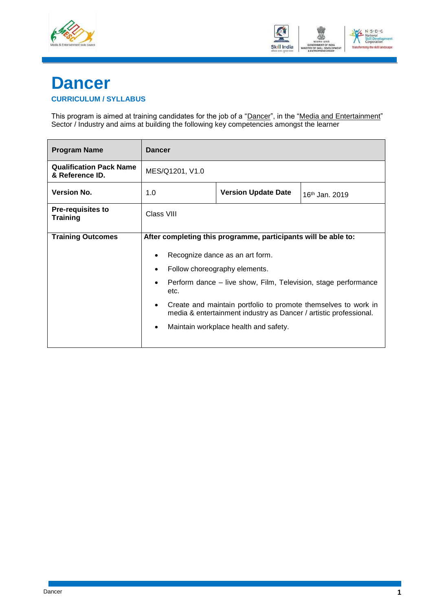



## <span id="page-3-0"></span>**Dancer CURRICULUM / SYLLABUS**

This program is aimed at training candidates for the job of a "<u>Dancer</u>", in the "<u>Media and Entertainment</u>" Sector / Industry and aims at building the following key competencies amongst the learner

| <b>Program Name</b>                               | <b>Dancer</b>                                                                                                                       |                                                                |  |  |  |
|---------------------------------------------------|-------------------------------------------------------------------------------------------------------------------------------------|----------------------------------------------------------------|--|--|--|
| <b>Qualification Pack Name</b><br>& Reference ID. | MES/Q1201, V1.0                                                                                                                     |                                                                |  |  |  |
| <b>Version No.</b>                                | <b>Version Update Date</b><br>1.0<br>$16th$ Jan. 2019                                                                               |                                                                |  |  |  |
| <b>Pre-requisites to</b><br><b>Training</b>       | Class VIII                                                                                                                          |                                                                |  |  |  |
| <b>Training Outcomes</b>                          |                                                                                                                                     | After completing this programme, participants will be able to: |  |  |  |
|                                                   | Recognize dance as an art form.                                                                                                     |                                                                |  |  |  |
|                                                   |                                                                                                                                     | Follow choreography elements.                                  |  |  |  |
|                                                   | Perform dance – live show, Film, Television, stage performance<br>etc.                                                              |                                                                |  |  |  |
|                                                   | Create and maintain portfolio to promote themselves to work in<br>media & entertainment industry as Dancer / artistic professional. |                                                                |  |  |  |
|                                                   |                                                                                                                                     | Maintain workplace health and safety.                          |  |  |  |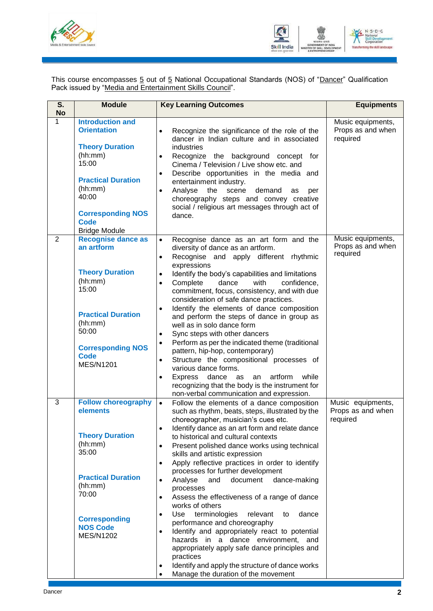



This course encompasses <u>5</u> out of <u>5</u> National Occupational Standards (NOS) of "<u>Dancer</u>" Qualification Pack issued by "Media and Entertainment Skills Council".

| S.<br><b>No</b> | <b>Module</b>                                                                                                                                                                                                   | <b>Key Learning Outcomes</b>                                                                                                                                                                                                                                                                                                                                                                                                                                                                                                                                                                                                                                                                                                                                                                                                                                                                                                                                                                | <b>Equipments</b>                                  |
|-----------------|-----------------------------------------------------------------------------------------------------------------------------------------------------------------------------------------------------------------|---------------------------------------------------------------------------------------------------------------------------------------------------------------------------------------------------------------------------------------------------------------------------------------------------------------------------------------------------------------------------------------------------------------------------------------------------------------------------------------------------------------------------------------------------------------------------------------------------------------------------------------------------------------------------------------------------------------------------------------------------------------------------------------------------------------------------------------------------------------------------------------------------------------------------------------------------------------------------------------------|----------------------------------------------------|
| 1               | <b>Introduction and</b><br><b>Orientation</b><br><b>Theory Duration</b><br>(hh:mm)<br>15:00<br><b>Practical Duration</b><br>(hh:mm)<br>40:00<br><b>Corresponding NOS</b><br><b>Code</b><br><b>Bridge Module</b> | Recognize the significance of the role of the<br>$\bullet$<br>dancer in Indian culture and in associated<br>industries<br>Recognize the background concept for<br>$\bullet$<br>Cinema / Television / Live show etc. and<br>Describe opportunities in the media and<br>$\bullet$<br>entertainment industry.<br>Analyse<br>the<br>scene<br>demand<br>$\bullet$<br>as<br>per<br>choreography steps and convey creative<br>social / religious art messages through act of<br>dance.                                                                                                                                                                                                                                                                                                                                                                                                                                                                                                             | Music equipments,<br>Props as and when<br>required |
| 2               | <b>Recognise dance as</b><br>an artform<br><b>Theory Duration</b><br>(hh:mm)<br>15:00<br><b>Practical Duration</b><br>(hh:mm)<br>50:00<br><b>Corresponding NOS</b><br>Code<br><b>MES/N1201</b>                  | $\bullet$<br>Recognise dance as an art form and the<br>diversity of dance as an artform.<br>Recognise and apply different rhythmic<br>$\bullet$<br>expressions<br>Identify the body's capabilities and limitations<br>$\bullet$<br>Complete<br>dance<br>with<br>confidence,<br>$\bullet$<br>commitment, focus, consistency, and with due<br>consideration of safe dance practices.<br>Identify the elements of dance composition<br>$\bullet$<br>and perform the steps of dance in group as<br>well as in solo dance form<br>Sync steps with other dancers<br>$\bullet$<br>Perform as per the indicated theme (traditional<br>$\bullet$<br>pattern, hip-hop, contemporary)<br>Structure the compositional processes of<br>$\bullet$<br>various dance forms.<br>dance as<br>artform<br>while                                                                                                                                                                                                 | Music equipments,<br>Props as and when<br>required |
|                 |                                                                                                                                                                                                                 | Express<br>an<br>$\bullet$<br>recognizing that the body is the instrument for<br>non-verbal communication and expression.                                                                                                                                                                                                                                                                                                                                                                                                                                                                                                                                                                                                                                                                                                                                                                                                                                                                   |                                                    |
| 3               | <b>Follow choreography</b><br>elements<br><b>Theory Duration</b><br>(hh:mm)<br>35:00<br><b>Practical Duration</b><br>(hh:mm)<br>70:00<br><b>Corresponding</b><br><b>NOS Code</b><br><b>MES/N1202</b>            | Follow the elements of a dance composition<br>$\bullet$<br>such as rhythm, beats, steps, illustrated by the<br>choreographer, musician's cues etc.<br>Identify dance as an art form and relate dance<br>$\bullet$<br>to historical and cultural contexts<br>Present polished dance works using technical<br>$\bullet$<br>skills and artistic expression<br>Apply reflective practices in order to identify<br>$\bullet$<br>processes for further development<br>Analyse<br>and<br>document<br>dance-making<br>$\bullet$<br>processes<br>Assess the effectiveness of a range of dance<br>$\bullet$<br>works of others<br>Use terminologies<br>relevant<br>dance<br>to<br>$\bullet$<br>performance and choreography<br>Identify and appropriately react to potential<br>$\bullet$<br>hazards in a dance environment, and<br>appropriately apply safe dance principles and<br>practices<br>Identify and apply the structure of dance works<br>$\bullet$<br>Manage the duration of the movement | Music equipments,<br>Props as and when<br>required |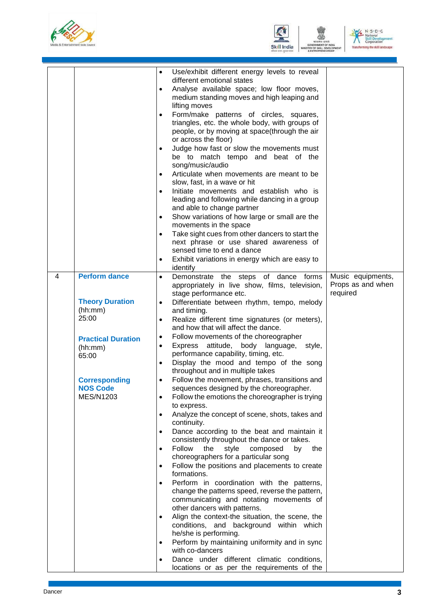





|                                                                                                                                                                                         | Use/exhibit different energy levels to reveal<br>$\bullet$<br>different emotional states<br>Analyse available space; low floor moves,<br>$\bullet$<br>medium standing moves and high leaping and<br>lifting moves<br>Form/make patterns of circles, squares,<br>triangles, etc. the whole body, with groups of<br>people, or by moving at space(through the air<br>or across the floor)<br>Judge how fast or slow the movements must<br>be to match tempo and beat of the<br>song/music/audio<br>Articulate when movements are meant to be<br>slow, fast, in a wave or hit<br>Initiate movements and establish who is<br>leading and following while dancing in a group<br>and able to change partner<br>Show variations of how large or small are the<br>movements in the space<br>Take sight cues from other dancers to start the<br>$\bullet$<br>next phrase or use shared awareness of<br>sensed time to end a dance<br>Exhibit variations in energy which are easy to<br>$\bullet$<br>identify                                                                                                                                                                                                                                                                                                                                                                                                                                                                                                                                             |                                                    |
|-----------------------------------------------------------------------------------------------------------------------------------------------------------------------------------------|-------------------------------------------------------------------------------------------------------------------------------------------------------------------------------------------------------------------------------------------------------------------------------------------------------------------------------------------------------------------------------------------------------------------------------------------------------------------------------------------------------------------------------------------------------------------------------------------------------------------------------------------------------------------------------------------------------------------------------------------------------------------------------------------------------------------------------------------------------------------------------------------------------------------------------------------------------------------------------------------------------------------------------------------------------------------------------------------------------------------------------------------------------------------------------------------------------------------------------------------------------------------------------------------------------------------------------------------------------------------------------------------------------------------------------------------------------------------------------------------------------------------------------------------------|----------------------------------------------------|
| <b>Perform dance</b><br>4<br><b>Theory Duration</b><br>(hh:mm)<br>25:00<br><b>Practical Duration</b><br>(hh:mm)<br>65:00<br><b>Corresponding</b><br><b>NOS Code</b><br><b>MES/N1203</b> | Demonstrate the steps of dance forms<br>$\bullet$<br>appropriately in live show, films, television,<br>stage performance etc.<br>Differentiate between rhythm, tempo, melody<br>$\bullet$<br>and timing.<br>Realize different time signatures (or meters),<br>$\bullet$<br>and how that will affect the dance.<br>Follow movements of the choreographer<br>$\bullet$<br>Express attitude,<br>body<br>language, style,<br>$\bullet$<br>performance capability, timing, etc.<br>Display the mood and tempo of the song<br>$\bullet$<br>throughout and in multiple takes<br>Follow the movement, phrases, transitions and<br>sequences designed by the choreographer.<br>Follow the emotions the choreographer is trying<br>to express.<br>Analyze the concept of scene, shots, takes and<br>continuity.<br>Dance according to the beat and maintain it<br>consistently throughout the dance or takes.<br>Follow<br>the<br>style<br>composed<br>the<br>by<br>choreographers for a particular song<br>Follow the positions and placements to create<br>formations.<br>Perform in coordination with the patterns,<br>change the patterns speed, reverse the pattern,<br>communicating and notating movements of<br>other dancers with patterns.<br>Align the context-the situation, the scene, the<br>conditions, and background within which<br>he/she is performing.<br>Perform by maintaining uniformity and in sync<br>$\bullet$<br>with co-dancers<br>Dance under different climatic conditions,<br>locations or as per the requirements of the | Music equipments,<br>Props as and when<br>required |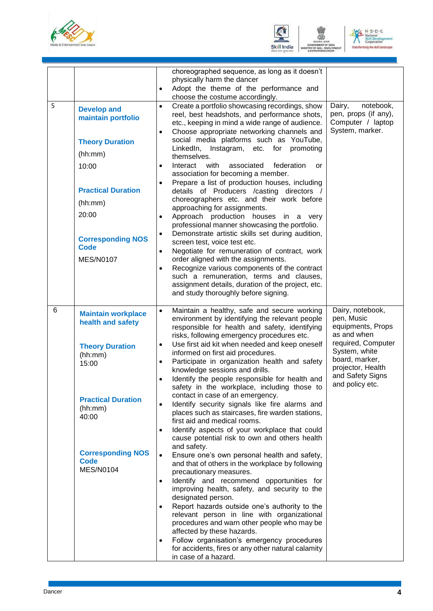





| 5 | <b>Develop and</b><br>maintain portfolio<br><b>Theory Duration</b><br>(hh:mm)<br>10:00<br><b>Practical Duration</b><br>(hh:mm)<br>20:00<br><b>Corresponding NOS</b><br><b>Code</b><br><b>MES/N0107</b> | choreographed sequence, as long as it doesn't<br>physically harm the dancer<br>Adopt the theme of the performance and<br>$\bullet$<br>choose the costume accordingly.<br>Create a portfolio showcasing recordings, show<br>$\bullet$<br>reel, best headshots, and performance shots,<br>etc., keeping in mind a wide range of audience.<br>Choose appropriate networking channels and<br>$\bullet$<br>social media platforms such as YouTube,<br>LinkedIn, Instagram, etc. for promoting<br>themselves.<br>Interact with<br>associated<br>federation<br>or<br>$\bullet$<br>association for becoming a member.<br>Prepare a list of production houses, including<br>details of Producers /casting directors /<br>choreographers etc. and their work before<br>approaching for assignments.<br>Approach production houses in a very<br>$\bullet$<br>professional manner showcasing the portfolio.<br>Demonstrate artistic skills set during audition,<br>$\bullet$<br>screen test, voice test etc.<br>Negotiate for remuneration of contract, work<br>$\bullet$<br>order aligned with the assignments.<br>Recognize various components of the contract<br>$\bullet$<br>such a remuneration, terms and clauses,<br>assignment details, duration of the project, etc.<br>and study thoroughly before signing.                                                                                                                              | Dairy,<br>notebook,<br>pen, props (if any),<br>Computer / laptop<br>System, marker.                                                                                                     |
|---|--------------------------------------------------------------------------------------------------------------------------------------------------------------------------------------------------------|----------------------------------------------------------------------------------------------------------------------------------------------------------------------------------------------------------------------------------------------------------------------------------------------------------------------------------------------------------------------------------------------------------------------------------------------------------------------------------------------------------------------------------------------------------------------------------------------------------------------------------------------------------------------------------------------------------------------------------------------------------------------------------------------------------------------------------------------------------------------------------------------------------------------------------------------------------------------------------------------------------------------------------------------------------------------------------------------------------------------------------------------------------------------------------------------------------------------------------------------------------------------------------------------------------------------------------------------------------------------------------------------------------------------------------------|-----------------------------------------------------------------------------------------------------------------------------------------------------------------------------------------|
| 6 | <b>Maintain workplace</b><br>health and safety<br><b>Theory Duration</b><br>(hh:mm)<br>15:00<br><b>Practical Duration</b><br>(hh:mm)<br>40:00<br><b>Corresponding NOS</b><br>Code<br><b>MES/N0104</b>  | Maintain a healthy, safe and secure working<br>$\bullet$<br>environment by identifying the relevant people<br>responsible for health and safety, identifying<br>risks, following emergency procedures etc.<br>Use first aid kit when needed and keep oneself<br>$\bullet$<br>informed on first aid procedures.<br>Participate in organization health and safety<br>$\bullet$<br>knowledge sessions and drills.<br>Identify the people responsible for health and<br>safety in the workplace, including those to<br>contact in case of an emergency.<br>Identify security signals like fire alarms and<br>places such as staircases, fire warden stations,<br>first aid and medical rooms.<br>Identify aspects of your workplace that could<br>$\bullet$<br>cause potential risk to own and others health<br>and safety.<br>Ensure one's own personal health and safety,<br>$\bullet$<br>and that of others in the workplace by following<br>precautionary measures.<br>Identify and recommend opportunities for<br>$\bullet$<br>improving health, safety, and security to the<br>designated person.<br>Report hazards outside one's authority to the<br>$\bullet$<br>relevant person in line with organizational<br>procedures and warn other people who may be<br>affected by these hazards.<br>Follow organisation's emergency procedures<br>$\bullet$<br>for accidents, fires or any other natural calamity<br>in case of a hazard. | Dairy, notebook,<br>pen, Music<br>equipments, Props<br>as and when<br>required, Computer<br>System, white<br>board, marker,<br>projector, Health<br>and Safety Signs<br>and policy etc. |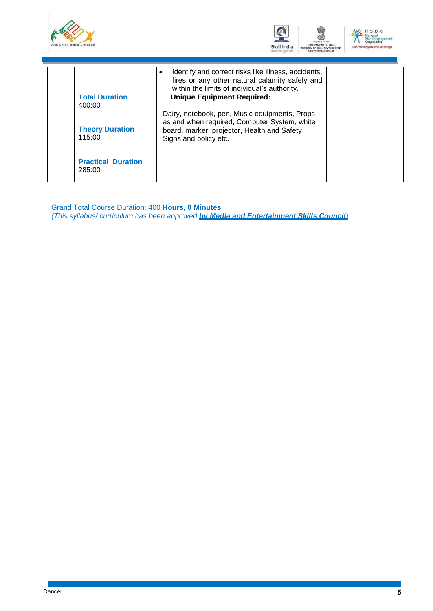



|                                     | Identify and correct risks like illness, accidents,<br>$\bullet$<br>fires or any other natural calamity safely and<br>within the limits of individual's authority.    |  |
|-------------------------------------|-----------------------------------------------------------------------------------------------------------------------------------------------------------------------|--|
| <b>Total Duration</b><br>400:00     | <b>Unique Equipment Required:</b>                                                                                                                                     |  |
| <b>Theory Duration</b><br>115:00    | Dairy, notebook, pen, Music equipments, Props<br>as and when required, Computer System, white<br>board, marker, projector, Health and Safety<br>Signs and policy etc. |  |
| <b>Practical Duration</b><br>285:00 |                                                                                                                                                                       |  |

Grand Total Course Duration: 400 **Hours, 0 Minutes** *(This syllabus/ curriculum has been approved by Media and Entertainment Skills Council)*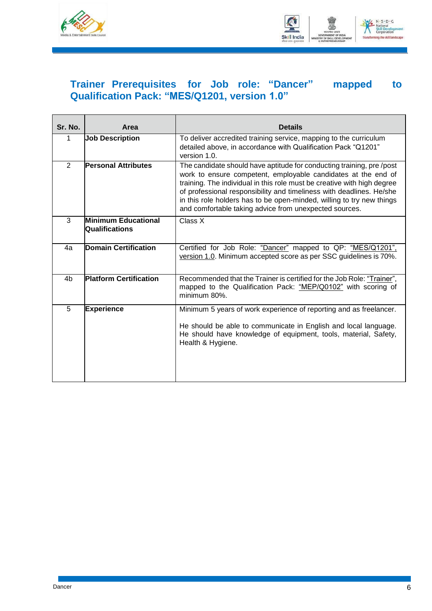



### <span id="page-8-0"></span>**Trainer Prerequisites for Job role: "Dancer" mapped to Qualification Pack: "MES/Q1201, version 1.0"**

| Sr. No.        | Area                                                | <b>Details</b>                                                                                                                                                                                                                                                                                                                                                                                                              |
|----------------|-----------------------------------------------------|-----------------------------------------------------------------------------------------------------------------------------------------------------------------------------------------------------------------------------------------------------------------------------------------------------------------------------------------------------------------------------------------------------------------------------|
| 1              | <b>Job Description</b>                              | To deliver accredited training service, mapping to the curriculum<br>detailed above, in accordance with Qualification Pack "Q1201"<br>version 1.0.                                                                                                                                                                                                                                                                          |
| $\overline{2}$ | <b>Personal Attributes</b>                          | The candidate should have aptitude for conducting training, pre/post<br>work to ensure competent, employable candidates at the end of<br>training. The individual in this role must be creative with high degree<br>of professional responsibility and timeliness with deadlines. He/she<br>in this role holders has to be open-minded, willing to try new things<br>and comfortable taking advice from unexpected sources. |
| 3              | <b>Minimum Educational</b><br><b>Qualifications</b> | Class X                                                                                                                                                                                                                                                                                                                                                                                                                     |
| 4a             | <b>Domain Certification</b>                         | Certified for Job Role: "Dancer" mapped to QP: "MES/Q1201",<br>version 1.0. Minimum accepted score as per SSC guidelines is 70%.                                                                                                                                                                                                                                                                                            |
| 4b             | <b>Platform Certification</b>                       | Recommended that the Trainer is certified for the Job Role: "Trainer",<br>mapped to the Qualification Pack: "MEP/Q0102" with scoring of<br>minimum 80%.                                                                                                                                                                                                                                                                     |
| 5              | <b>Experience</b>                                   | Minimum 5 years of work experience of reporting and as freelancer.<br>He should be able to communicate in English and local language.<br>He should have knowledge of equipment, tools, material, Safety,<br>Health & Hygiene.                                                                                                                                                                                               |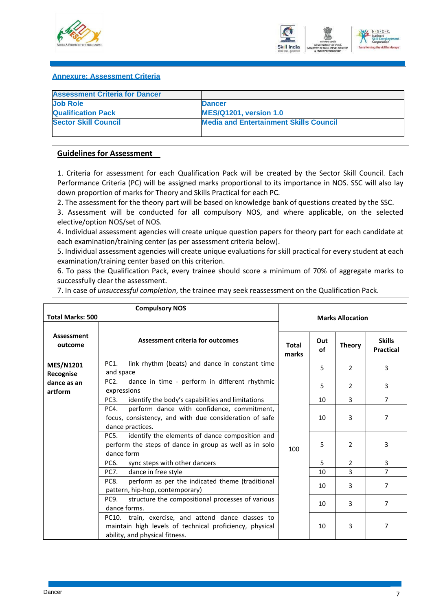



#### <span id="page-9-0"></span>**Annexure: Assessment Criteria**

| <b>Assessment Criteria for Dancer</b> |                                               |
|---------------------------------------|-----------------------------------------------|
| <b>Job Role</b>                       | <b>Dancer</b>                                 |
| <b>Qualification Pack</b>             | <b>MES/Q1201, version 1.0</b>                 |
| <b>Sector Skill Council</b>           | <b>Media and Entertainment Skills Council</b> |
|                                       |                                               |

#### **Guidelines for Assessment**

1. Criteria for assessment for each Qualification Pack will be created by the Sector Skill Council. Each Performance Criteria (PC) will be assigned marks proportional to its importance in NOS. SSC will also lay down proportion of marks for Theory and Skills Practical for each PC.

2. The assessment for the theory part will be based on knowledge bank of questions created by the SSC.

3. Assessment will be conducted for all compulsory NOS, and where applicable, on the selected elective/option NOS/set of NOS.

4. Individual assessment agencies will create unique question papers for theory part for each candidate at each examination/training center (as per assessment criteria below).

5. Individual assessment agencies will create unique evaluations for skill practical for every student at each examination/training center based on this criterion.

6. To pass the Qualification Pack, every trainee should score a minimum of 70% of aggregate marks to successfully clear the assessment.

7. In case of *unsuccessful completion*, the trainee may seek reassessment on the Qualification Pack.

|                               | <b>Compulsory NOS</b>                                                                                                                           |                       |           |                         |                                   |  |  |
|-------------------------------|-------------------------------------------------------------------------------------------------------------------------------------------------|-----------------------|-----------|-------------------------|-----------------------------------|--|--|
| <b>Total Marks: 500</b>       |                                                                                                                                                 |                       |           | <b>Marks Allocation</b> |                                   |  |  |
| Assessment<br>outcome         | Assessment criteria for outcomes                                                                                                                | <b>Total</b><br>marks | Out<br>οf | <b>Theory</b>           | <b>Skills</b><br><b>Practical</b> |  |  |
| <b>MES/N1201</b><br>Recognise | link rhythm (beats) and dance in constant time<br>PC1.<br>and space                                                                             |                       | 5         | $\mathcal{P}$           | 3                                 |  |  |
| dance as an<br>artform        | dance in time - perform in different rhythmic<br>PC <sub>2</sub><br>expressions                                                                 |                       | 5         | 2                       | 3                                 |  |  |
|                               | PC <sub>3</sub> .<br>identify the body's capabilities and limitations                                                                           |                       | 10        | $\overline{3}$          | $\overline{7}$                    |  |  |
|                               | perform dance with confidence, commitment,<br>PC4.<br>focus, consistency, and with due consideration of safe<br>dance practices.                |                       | 10        | 3                       | 7                                 |  |  |
|                               | identify the elements of dance composition and<br>PC5.<br>perform the steps of dance in group as well as in solo<br>dance form                  | 100                   | 5         | 2                       | 3                                 |  |  |
|                               | PC6.<br>sync steps with other dancers                                                                                                           |                       | 5         | $\overline{2}$          | 3                                 |  |  |
|                               | <b>PC7.</b><br>dance in free style                                                                                                              |                       | 10        | 3                       | 7                                 |  |  |
|                               | perform as per the indicated theme (traditional<br>PC8.<br>pattern, hip-hop, contemporary)                                                      |                       | 10        | 3                       | 7                                 |  |  |
|                               | structure the compositional processes of various<br>PC9.<br>dance forms.                                                                        |                       | 10        | 3                       | 7                                 |  |  |
|                               | PC10. train, exercise, and attend dance classes to<br>maintain high levels of technical proficiency, physical<br>ability, and physical fitness. |                       | 10        | 3                       | 7                                 |  |  |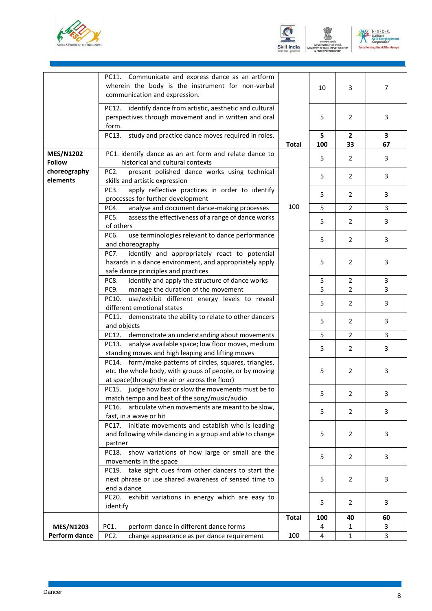





|                                   | PC11. Communicate and express dance as an artform<br>wherein the body is the instrument for non-verbal<br>communication and expression.                               |              | 10  | 3              | $\overline{7}$ |
|-----------------------------------|-----------------------------------------------------------------------------------------------------------------------------------------------------------------------|--------------|-----|----------------|----------------|
|                                   | PC12. identify dance from artistic, aesthetic and cultural<br>perspectives through movement and in written and oral<br>form.                                          |              | 5   | 2              | 3              |
|                                   | PC13.<br>study and practice dance moves required in roles.                                                                                                            |              | 5   | 2              | 3              |
|                                   |                                                                                                                                                                       | <b>Total</b> | 100 | 33             | 67             |
| <b>MES/N1202</b><br><b>Follow</b> | PC1. identify dance as an art form and relate dance to<br>historical and cultural contexts                                                                            |              | 5   | 2              | 3              |
| choreography<br>elements          | PC <sub>2</sub> .<br>present polished dance works using technical<br>skills and artistic expression                                                                   |              | 5   | $\overline{2}$ | 3              |
|                                   | apply reflective practices in order to identify<br>PC3.<br>processes for further development                                                                          |              | 5   | $\overline{2}$ | 3              |
|                                   | analyse and document dance-making processes<br>PC4.                                                                                                                   | 100          | 5   | $\overline{2}$ | 3              |
|                                   | assess the effectiveness of a range of dance works<br>PC5.<br>of others                                                                                               |              | 5   | $\overline{2}$ | 3              |
|                                   | PC6.<br>use terminologies relevant to dance performance<br>and choreography                                                                                           |              | 5   | $\overline{2}$ | 3              |
|                                   | identify and appropriately react to potential<br>PC7.<br>hazards in a dance environment, and appropriately apply<br>safe dance principles and practices               |              | 5   | $\overline{2}$ | 3              |
|                                   | identify and apply the structure of dance works<br>PC8.                                                                                                               |              | 5   | $\overline{2}$ | 3              |
|                                   | PC9.<br>manage the duration of the movement                                                                                                                           |              | 5   | $\overline{2}$ | 3              |
|                                   | use/exhibit different energy levels to reveal<br>PC10.<br>different emotional states                                                                                  |              | 5   | $\overline{2}$ | 3              |
|                                   | demonstrate the ability to relate to other dancers<br>PC11.<br>and objects                                                                                            |              | 5   | 2              | 3              |
|                                   | PC12. demonstrate an understanding about movements                                                                                                                    |              | 5   | $\overline{2}$ | 3              |
|                                   | analyse available space; low floor moves, medium<br>PC13.<br>standing moves and high leaping and lifting moves                                                        |              | 5   | $\overline{2}$ | 3              |
|                                   | PC14. form/make patterns of circles, squares, triangles,<br>etc. the whole body, with groups of people, or by moving<br>at space(through the air or across the floor) |              | 5   | $\overline{2}$ | 3              |
|                                   | PC15. judge how fast or slow the movements must be to<br>match tempo and beat of the song/music/audio                                                                 |              | ь   | 2              | з              |
|                                   | articulate when movements are meant to be slow,<br>PC16.<br>fast, in a wave or hit                                                                                    |              | 5   | 2              | 3              |
|                                   | PC17. initiate movements and establish who is leading<br>and following while dancing in a group and able to change<br>partner                                         |              | 5   | 2              | 3              |
|                                   | PC18. show variations of how large or small are the<br>movements in the space                                                                                         |              | 5   | 2              | 3              |
|                                   | PC19. take sight cues from other dancers to start the<br>next phrase or use shared awareness of sensed time to<br>end a dance                                         |              | 5   | 2              | 3              |
|                                   | PC20. exhibit variations in energy which are easy to<br>identify                                                                                                      |              | 5   | 2              | 3              |
|                                   |                                                                                                                                                                       | <b>Total</b> | 100 | 40             | 60             |
| <b>MES/N1203</b>                  | perform dance in different dance forms<br>PC1.                                                                                                                        |              | 4   | 1              | 3              |
| Perform dance                     | PC <sub>2</sub> .<br>change appearance as per dance requirement                                                                                                       | 100          | 4   | 1              | 3              |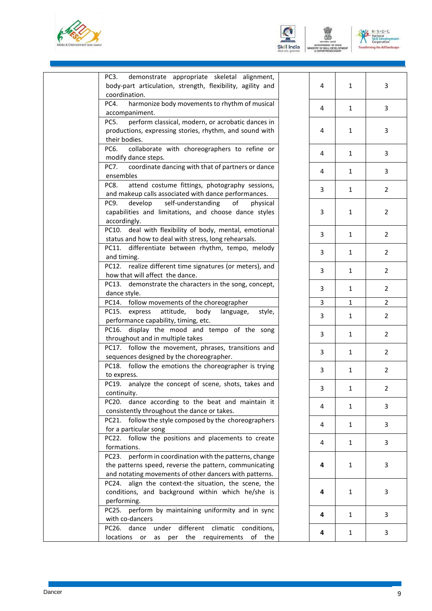





3

3

3

3

3

2

2

2

2

2

2

2

2

2

2

2

2

3

3

3

3

3

3

3

| demonstrate appropriate skeletal alignment,<br>PC3.<br>body-part articulation, strength, flexibility, agility and<br>coordination.                                                         | 4 | $\mathbf{1}$ |  |
|--------------------------------------------------------------------------------------------------------------------------------------------------------------------------------------------|---|--------------|--|
| PC4.<br>harmonize body movements to rhythm of musical<br>accompaniment.                                                                                                                    | 4 | $\mathbf{1}$ |  |
| perform classical, modern, or acrobatic dances in<br>PC5.<br>productions, expressing stories, rhythm, and sound with<br>their bodies.                                                      | 4 | $\mathbf{1}$ |  |
| PC6.<br>collaborate with choreographers to refine or<br>modify dance steps.                                                                                                                | 4 | $\mathbf{1}$ |  |
| coordinate dancing with that of partners or dance<br>PC7.<br>ensembles                                                                                                                     | 4 | $\mathbf{1}$ |  |
| attend costume fittings, photography sessions,<br>PC8.<br>and makeup calls associated with dance performances.                                                                             | 3 | $\mathbf{1}$ |  |
| develop<br>self-understanding<br>PC9.<br>of<br>physical<br>capabilities and limitations, and choose dance styles<br>accordingly.                                                           | 3 | $\mathbf{1}$ |  |
| deal with flexibility of body, mental, emotional<br>PC10.<br>status and how to deal with stress, long rehearsals.                                                                          | 3 | $\mathbf{1}$ |  |
| PC11. differentiate between rhythm, tempo, melody<br>and timing.                                                                                                                           | 3 | $\mathbf{1}$ |  |
| PC12. realize different time signatures (or meters), and<br>how that will affect the dance.                                                                                                | 3 | $\mathbf{1}$ |  |
| PC13. demonstrate the characters in the song, concept,<br>dance style.                                                                                                                     | 3 | $\mathbf{1}$ |  |
| PC14. follow movements of the choreographer                                                                                                                                                | 3 | $\mathbf{1}$ |  |
| attitude,<br>PC15.<br>express<br>body<br>language,<br>style,<br>performance capability, timing, etc.                                                                                       | 3 | $\mathbf{1}$ |  |
| display the mood and tempo of the song<br>PC16.<br>throughout and in multiple takes                                                                                                        | 3 | $\mathbf{1}$ |  |
| PC17. follow the movement, phrases, transitions and<br>sequences designed by the choreographer.                                                                                            | 3 | $\mathbf{1}$ |  |
| PC18. follow the emotions the choreographer is trying<br>to express.                                                                                                                       | 3 | $\mathbf{1}$ |  |
| PC19. analyze the concept of scene, shots, takes and<br>continuity.                                                                                                                        | 3 | $\mathbf{1}$ |  |
| dance according to the beat and maintain it<br>PC20.<br>consistently throughout the dance or takes.                                                                                        | 4 | $\mathbf{1}$ |  |
| follow the style composed by the choreographers<br>PC21.<br>for a particular song                                                                                                          | 4 | $\mathbf{1}$ |  |
| PC22. follow the positions and placements to create                                                                                                                                        | 4 | 1            |  |
| formations.<br>PC23. perform in coordination with the patterns, change<br>the patterns speed, reverse the pattern, communicating<br>and notating movements of other dancers with patterns. | 4 | 1            |  |
| PC24. align the context-the situation, the scene, the<br>conditions, and background within which he/she is<br>performing.                                                                  | 4 | 1            |  |
| perform by maintaining uniformity and in sync<br>PC25.<br>with co-dancers                                                                                                                  | 4 | $\mathbf{1}$ |  |
| different<br>PC26.<br>dance<br>under<br>climatic<br>conditions,<br>locations<br>the<br>requirements<br>of<br>as<br>the<br>or<br>per                                                        | 4 | $\mathbf{1}$ |  |
|                                                                                                                                                                                            |   |              |  |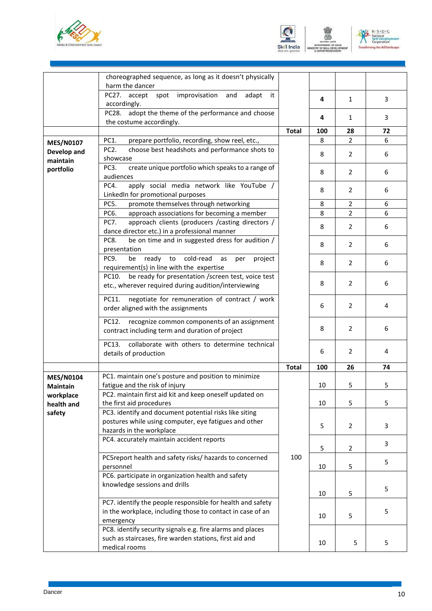





|                  | choreographed sequence, as long as it doesn't physically            |              |     |                |    |
|------------------|---------------------------------------------------------------------|--------------|-----|----------------|----|
|                  | harm the dancer                                                     |              |     |                |    |
|                  | PC27. accept spot improvisation and<br>adapt<br>it                  |              | 4   | $\mathbf{1}$   | 3  |
|                  | accordingly.                                                        |              |     |                |    |
|                  | PC28. adopt the theme of the performance and choose                 |              | 4   | 1              | 3  |
|                  | the costume accordingly.                                            |              |     |                |    |
|                  |                                                                     | <b>Total</b> | 100 | 28             | 72 |
| <b>MES/N0107</b> | PC1.<br>prepare portfolio, recording, show reel, etc.,              |              | 8   | $\overline{2}$ | 6  |
| Develop and      | PC <sub>2</sub> .<br>choose best headshots and performance shots to |              |     |                |    |
| maintain         | showcase                                                            |              | 8   | 2              | 6  |
| portfolio        | create unique portfolio which speaks to a range of<br>PC3.          |              |     |                |    |
|                  | audiences                                                           |              | 8   | 2              | 6  |
|                  | PC4.<br>apply social media network like YouTube /                   |              |     |                |    |
|                  | LinkedIn for promotional purposes                                   |              | 8   | 2              | 6  |
|                  | promote themselves through networking<br>PC5.                       |              | 8   | 2              | 6  |
|                  | PC6.<br>approach associations for becoming a member                 |              | 8   | 2              | 6  |
|                  | approach clients (producers / casting directors /<br>PC7.           |              |     |                |    |
|                  | dance director etc.) in a professional manner                       |              | 8   | $\overline{2}$ | 6  |
|                  | PC8.<br>be on time and in suggested dress for audition /            |              |     |                |    |
|                  | presentation                                                        |              | 8   | $\overline{2}$ | 6  |
|                  | cold-read<br>PC9.<br>ready<br>to<br>be<br>as<br>project<br>per      |              |     |                |    |
|                  | requirement(s) in line with the expertise                           |              | 8   | $\overline{2}$ | 6  |
|                  | be ready for presentation /screen test, voice test<br>PC10.         |              |     |                |    |
|                  | etc., wherever required during audition/interviewing                |              | 8   | 2              | 6  |
|                  |                                                                     |              |     |                |    |
|                  | negotiate for remuneration of contract / work<br>PC11.              |              |     |                |    |
|                  | order aligned with the assignments                                  |              | 6   | $\overline{2}$ | 4  |
|                  |                                                                     |              |     |                |    |
|                  | PC12.<br>recognize common components of an assignment               |              | 8   | 2              | 6  |
|                  | contract including term and duration of project                     |              |     |                |    |
|                  | collaborate with others to determine technical<br>PC13.             |              |     |                |    |
|                  | details of production                                               |              | 6   | 2              | 4  |
|                  |                                                                     |              |     | 26             | 74 |
|                  |                                                                     | <b>Total</b> | 100 |                |    |
| <b>MES/N0104</b> | PC1. maintain one's posture and position to minimize                |              |     |                |    |
| <b>Maintain</b>  | fatigue and the risk of injury                                      |              | 10  | 5              | 5  |
| workplace        | PC2. maintain first aid kit and keep oneself updated on             |              |     |                |    |
| health and       | the first aid procedures                                            |              | 10  | 5              | 5  |
| safety           | PC3. identify and document potential risks like siting              |              |     |                |    |
|                  | postures while using computer, eye fatigues and other               |              | 5   | $\overline{2}$ | 3  |
|                  | hazards in the workplace                                            |              |     |                |    |
|                  | PC4. accurately maintain accident reports                           |              |     |                | 3  |
|                  |                                                                     |              | 5   | $\overline{2}$ |    |
|                  | PC5report health and safety risks/ hazards to concerned             | 100          |     |                | 5  |
|                  | personnel                                                           |              | 10  | 5              |    |
|                  | PC6. participate in organization health and safety                  |              |     |                |    |
|                  | knowledge sessions and drills                                       |              |     |                | 5  |
|                  |                                                                     |              | 10  | 5              |    |
|                  | PC7. identify the people responsible for health and safety          |              |     |                |    |
|                  | in the workplace, including those to contact in case of an          |              | 10  | 5              | 5  |
|                  | emergency                                                           |              |     |                |    |
|                  | PC8. identify security signals e.g. fire alarms and places          |              |     |                |    |
|                  | such as staircases, fire warden stations, first aid and             |              | 10  | 5              | 5  |
|                  | medical rooms                                                       |              |     |                |    |